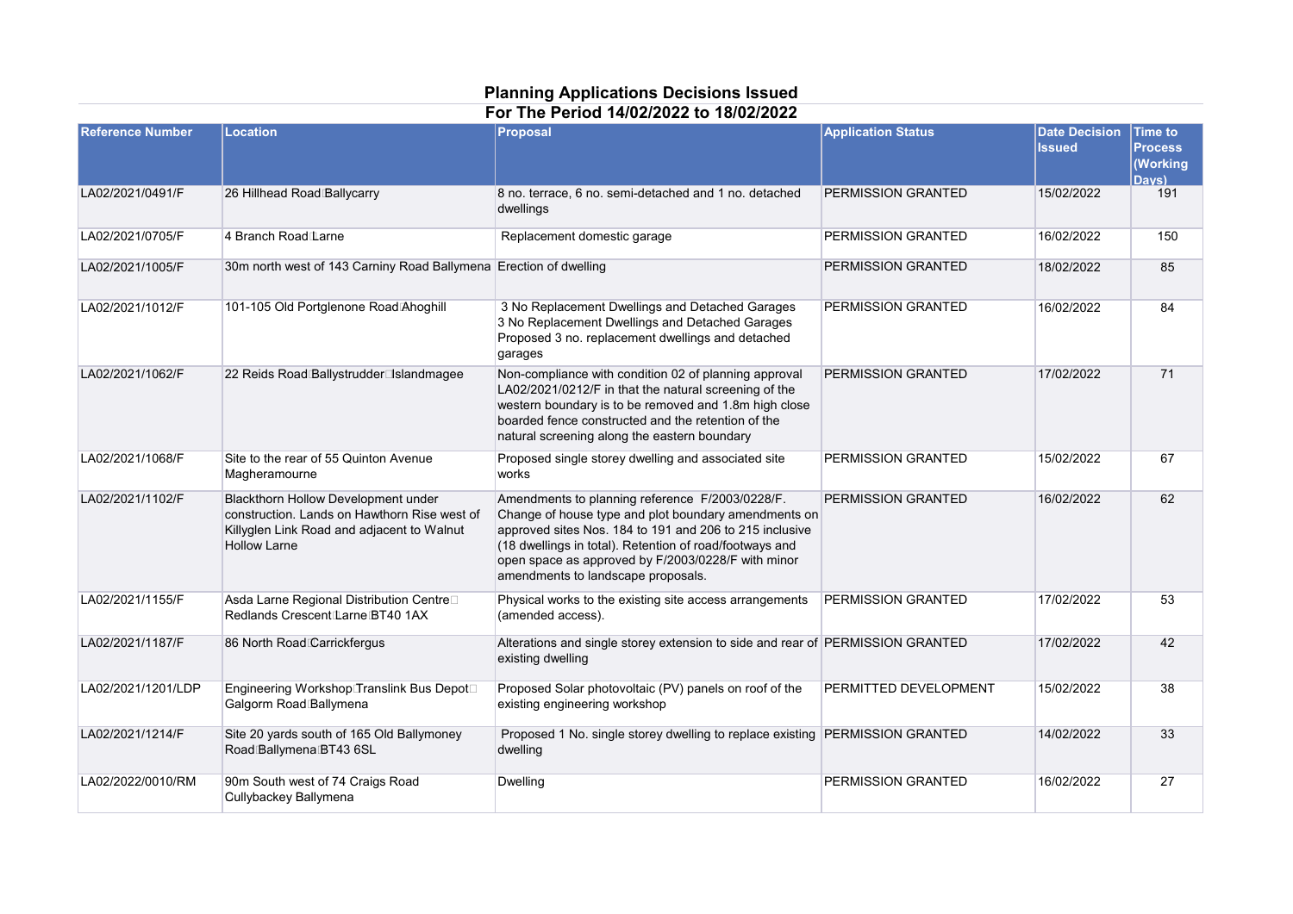## **Planning Applications Decisions Issued For The Period 14/02/2022 to 18/02/2022**

| <b>Reference Number</b> | <b>Location</b>                                                                                                                                          | Proposal                                                                                                                                                                                                                                                                                                                  | <b>Application Status</b> | <b>Date Decision</b><br><b>Issued</b> | <b>Time to</b><br><b>Process</b><br><b>Working</b><br>Davs) |
|-------------------------|----------------------------------------------------------------------------------------------------------------------------------------------------------|---------------------------------------------------------------------------------------------------------------------------------------------------------------------------------------------------------------------------------------------------------------------------------------------------------------------------|---------------------------|---------------------------------------|-------------------------------------------------------------|
| LA02/2021/0491/F        | 26 Hillhead Road Ballycarry                                                                                                                              | 8 no. terrace, 6 no. semi-detached and 1 no. detached<br>dwellings                                                                                                                                                                                                                                                        | PERMISSION GRANTED        | 15/02/2022                            | 191                                                         |
| LA02/2021/0705/F        | 4 Branch Road Larne                                                                                                                                      | Replacement domestic garage                                                                                                                                                                                                                                                                                               | PERMISSION GRANTED        | 16/02/2022                            | 150                                                         |
| LA02/2021/1005/F        | 30m north west of 143 Carniny Road Ballymena Erection of dwelling                                                                                        |                                                                                                                                                                                                                                                                                                                           | PERMISSION GRANTED        | 18/02/2022                            | 85                                                          |
| LA02/2021/1012/F        | 101-105 Old Portglenone Road Ahoghill                                                                                                                    | 3 No Replacement Dwellings and Detached Garages<br>3 No Replacement Dwellings and Detached Garages<br>Proposed 3 no. replacement dwellings and detached<br>garages                                                                                                                                                        | PERMISSION GRANTED        | 16/02/2022                            | 84                                                          |
| LA02/2021/1062/F        | 22 Reids Road Ballystrudder⊡slandmagee                                                                                                                   | Non-compliance with condition 02 of planning approval<br>LA02/2021/0212/F in that the natural screening of the<br>western boundary is to be removed and 1.8m high close<br>boarded fence constructed and the retention of the<br>natural screening along the eastern boundary                                             | PERMISSION GRANTED        | 17/02/2022                            | 71                                                          |
| LA02/2021/1068/F        | Site to the rear of 55 Quinton Avenue<br>Magheramourne                                                                                                   | Proposed single storey dwelling and associated site<br>works                                                                                                                                                                                                                                                              | PERMISSION GRANTED        | 15/02/2022                            | 67                                                          |
| LA02/2021/1102/F        | Blackthorn Hollow Development under<br>construction. Lands on Hawthorn Rise west of<br>Killyglen Link Road and adjacent to Walnut<br><b>Hollow Larne</b> | Amendments to planning reference F/2003/0228/F.<br>Change of house type and plot boundary amendments on<br>approved sites Nos. 184 to 191 and 206 to 215 inclusive<br>(18 dwellings in total). Retention of road/footways and<br>open space as approved by F/2003/0228/F with minor<br>amendments to landscape proposals. | PERMISSION GRANTED        | 16/02/2022                            | 62                                                          |
| LA02/2021/1155/F        | Asda Larne Regional Distribution Centre□<br>Redlands Crescent Larne BT40 1AX                                                                             | Physical works to the existing site access arrangements<br>(amended access).                                                                                                                                                                                                                                              | PERMISSION GRANTED        | 17/02/2022                            | 53                                                          |
| LA02/2021/1187/F        | 86 North Road Carrickfergus                                                                                                                              | Alterations and single storey extension to side and rear of PERMISSION GRANTED<br>existing dwelling                                                                                                                                                                                                                       |                           | 17/02/2022                            | 42                                                          |
| LA02/2021/1201/LDP      | Engineering Workshop Translink Bus Depot□<br>Galgorm Road Ballymena                                                                                      | Proposed Solar photovoltaic (PV) panels on roof of the<br>existing engineering workshop                                                                                                                                                                                                                                   | PERMITTED DEVELOPMENT     | 15/02/2022                            | 38                                                          |
| LA02/2021/1214/F        | Site 20 yards south of 165 Old Ballymoney<br>Road Ballymena BT43 6SL                                                                                     | Proposed 1 No. single storey dwelling to replace existing PERMISSION GRANTED<br>dwelling                                                                                                                                                                                                                                  |                           | 14/02/2022                            | 33                                                          |
| LA02/2022/0010/RM       | 90m South west of 74 Craigs Road<br>Cullybackey Ballymena                                                                                                | <b>Dwelling</b>                                                                                                                                                                                                                                                                                                           | PERMISSION GRANTED        | 16/02/2022                            | 27                                                          |